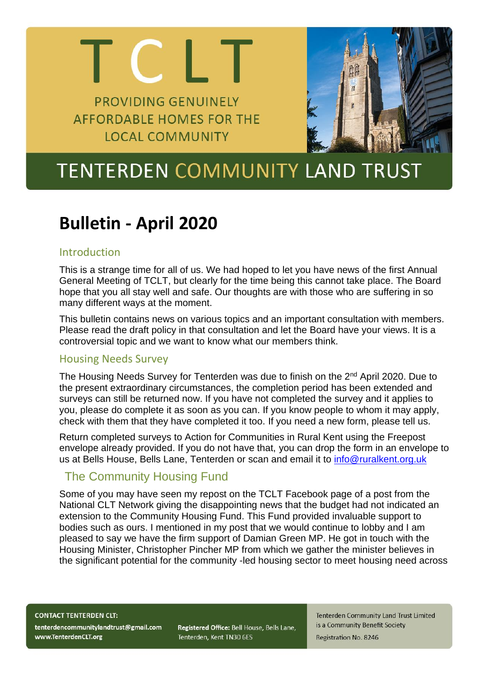### **PROVIDING GENUINELY AFFORDABLE HOMES FOR THE LOCAL COMMUNITY**

**CH** 



# **TENTERDEN COMMUNITY LAND TRUST**

## **Bulletin - April 2020**

#### Introduction

This is a strange time for all of us. We had hoped to let you have news of the first Annual General Meeting of TCLT, but clearly for the time being this cannot take place. The Board hope that you all stay well and safe. Our thoughts are with those who are suffering in so many different ways at the moment.

This bulletin contains news on various topics and an important consultation with members. Please read the draft policy in that consultation and let the Board have your views. It is a controversial topic and we want to know what our members think.

#### Housing Needs Survey

The Housing Needs Survey for Tenterden was due to finish on the 2<sup>nd</sup> April 2020. Due to the present extraordinary circumstances, the completion period has been extended and surveys can still be returned now. If you have not completed the survey and it applies to you, please do complete it as soon as you can. If you know people to whom it may apply, check with them that they have completed it too. If you need a new form, please tell us.

Return completed surveys to Action for Communities in Rural Kent using the Freepost envelope already provided. If you do not have that, you can drop the form in an envelope to us at Bells House, Bells Lane, Tenterden or scan and email it to [info@ruralkent.org.uk](mailto:info@ruralkent.org.uk)

### The Community Housing Fund

Some of you may have seen my repost on the TCLT Facebook page of a post from the National CLT Network giving the disappointing news that the budget had not indicated an extension to the Community Housing Fund. This Fund provided invaluable support to bodies such as ours. I mentioned in my post that we would continue to lobby and I am pleased to say we have the firm support of Damian Green MP. He got in touch with the Housing Minister, Christopher Pincher MP from which we gather the minister believes in the significant potential for the community -led housing sector to meet housing need across

**CONTACT TENTERDEN CLT:** 

tenterdencommunitylandtrust@gmail.com www.TenterdenCLT.org

Registered Office: Bell House, Bells Lane, Tenterden, Kent TN30 6ES

**Tenterden Community Land Trust Limited** is a Community Benefit Society **Registration No. 8246**